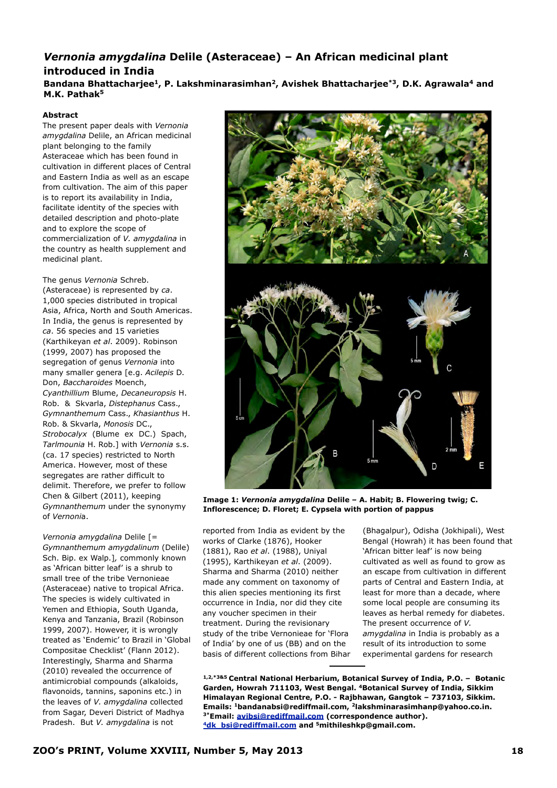## *Vernonia amygdalina* **Delile (Asteraceae) – An African medicinal plant introduced in India**

**Bandana Bhattacharjee1, P. Lakshminarasimhan2, Avishek Bhattacharjee\*3, D.K. Agrawala4 and M.K. Pathak5**

## **Abstract**

The present paper deals with *Vernonia amygdalina* Delile, an African medicinal plant belonging to the family Asteraceae which has been found in cultivation in different places of Central and Eastern India as well as an escape from cultivation. The aim of this paper is to report its availability in India, facilitate identity of the species with detailed description and photo-plate and to explore the scope of commercialization of *V. amygdalina* in the country as health supplement and medicinal plant.

The genus *Vernonia* Schreb. (Asteraceae) is represented by *ca*. 1,000 species distributed in tropical Asia, Africa, North and South Americas. In India, the genus is represented by *ca*. 56 species and 15 varieties (Karthikeyan *et al*. 2009). Robinson (1999, 2007) has proposed the segregation of genus *Vernonia* into many smaller genera [e.g. *Acilepis* D. Don, *Baccharoides* Moench, *Cyanthillium* Blume, *Decaneuropsis* H. Rob. & Skvarla, *Distephanus* Cass., *Gymnanthemum* Cass., *Khasianthus* H. Rob. & Skvarla, *Monosis* DC., *Strobocalyx* (Blume ex DC.) Spach, *Tarlmounia* H. Rob.] with *Vernonia* s.s. (ca. 17 species) restricted to North America. However, most of these segregates are rather difficult to delimit. Therefore, we prefer to follow Chen & Gilbert (2011), keeping *Gymnanthemum* under the synonymy of *Vernoni*a.

*Vernonia amygdalina* Delile [= *Gymnanthemum amygdalinum* (Delile) Sch. Bip. ex Walp.]*,* commonly known as 'African bitter leaf' is a shrub to small tree of the tribe Vernonieae (Asteraceae) native to tropical Africa. The species is widely cultivated in Yemen and Ethiopia, South Uganda, Kenya and Tanzania, Brazil (Robinson 1999, 2007). However, it is wrongly treated as 'Endemic' to Brazil in 'Global Compositae Checklist' (Flann 2012). Interestingly, Sharma and Sharma (2010) revealed the occurrence of antimicrobial compounds (alkaloids, flavonoids, tannins, saponins etc.) in the leaves of *V. amygdalina* collected from Sagar, Deveri District of Madhya Pradesh. But *V. amygdalina* is not



**Image 1:** *Vernonia amygdalina* **Delile – A. Habit; B. Flowering twig; C. Inflorescence; D. Floret; E. Cypsela with portion of pappus**

reported from India as evident by the works of Clarke (1876), Hooker (1881), Rao *et al*. (1988), Uniyal (1995), Karthikeyan *et al*. (2009). Sharma and Sharma (2010) neither made any comment on taxonomy of this alien species mentioning its first occurrence in India, nor did they cite any voucher specimen in their treatment. During the revisionary study of the tribe Vernonieae for 'Flora of India' by one of us (BB) and on the basis of different collections from Bihar

(Bhagalpur), Odisha (Jokhipali), West Bengal (Howrah) it has been found that 'African bitter leaf' is now being cultivated as well as found to grow as an escape from cultivation in different parts of Central and Eastern India, at least for more than a decade, where some local people are consuming its leaves as herbal remedy for diabetes. The present occurrence of *V. amygdalina* in India is probably as a result of its introduction to some experimental gardens for research

**1,2,\*3&5 Central National Herbarium, Botanical Survey of India, P.O. – Botanic Garden, Howrah 711103, West Bengal. 4Botanical Survey of India, Sikkim Himalayan Regional Centre, P.O. - Rajbhawan, Gangtok – 737103, Sikkim. Emails: 1bandanabsi@rediffmail.com, 2lakshminarasimhanp@yahoo.co.in. 3\*Email: [avibsi@rediffmail.com](mailto:avibsi@rediffmail.com) (correspondence author). [4dk\\_bsi@rediffmail.com](mailto:4dk_bsi@rediffmail.com) and 5mithileshkp@gmail.com.**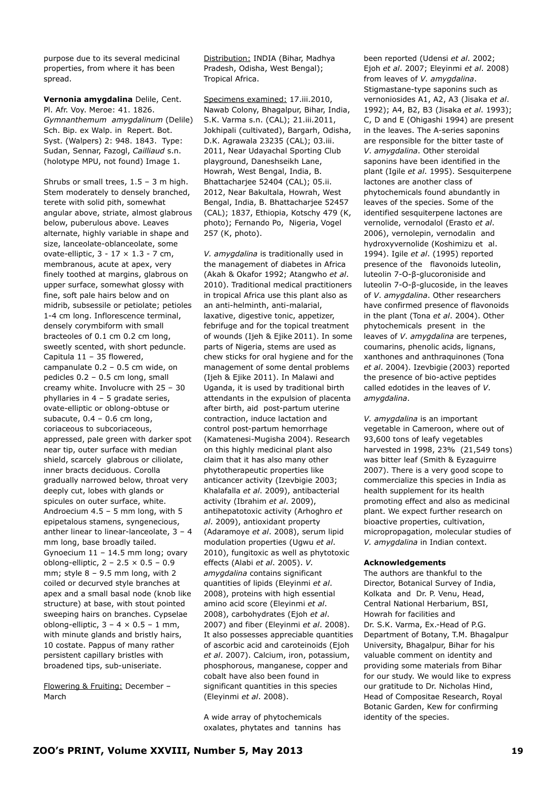purpose due to its several medicinal properties, from where it has been spread.

**Vernonia amygdalina** Delile, Cent. Pl. Afr. Voy. Meroe: 41. 1826. *Gymnanthemum amygdalinum* (Delile) Sch. Bip. ex Walp. in Repert. Bot. Syst. (Walpers) 2: 948. 1843. Type: Sudan, Sennar, Fazogl, *Cailliaud* s.n. (holotype MPU, not found) Image 1.

Shrubs or small trees, 1.5 – 3 m high. Stem moderately to densely branched, terete with solid pith, somewhat angular above, striate, almost glabrous below, puberulous above. Leaves alternate, highly variable in shape and size, lanceolate-oblanceolate, some ovate-elliptic,  $3 - 17 \times 1.3 - 7$  cm, membranous, acute at apex, very finely toothed at margins, glabrous on upper surface, somewhat glossy with fine, soft pale hairs below and on midrib, subsessile or petiolate; petioles 1-4 cm long. Inflorescence terminal, densely corymbiform with small bracteoles of 0.1 cm 0.2 cm long, sweetly scented, with short peduncle. Capitula 11 – 35 flowered, campanulate 0.2 – 0.5 cm wide, on pedicles 0.2 – 0.5 cm long, small creamy white. Involucre with 25 – 30 phyllaries in 4 – 5 gradate series, ovate-elliptic or oblong-obtuse or subacute,  $0.4 - 0.6$  cm long, coriaceous to subcoriaceous, appressed, pale green with darker spot near tip, outer surface with median shield, scarcely glabrous or ciliolate, inner bracts deciduous. Corolla gradually narrowed below, throat very deeply cut, lobes with glands or spicules on outer surface, white. Androecium 4.5 – 5 mm long, with 5 epipetalous stamens, syngenecious, anther linear to linear-lanceolate, 3 – 4 mm long, base broadly tailed. Gynoecium 11 – 14.5 mm long; ovary oblong-elliptic,  $2 - 2.5 \times 0.5 - 0.9$ mm; style  $8 - 9.5$  mm long, with 2 coiled or decurved style branches at apex and a small basal node (knob like structure) at base, with stout pointed sweeping hairs on branches. Cypselae oblong-elliptic,  $3 - 4 \times 0.5 - 1$  mm, with minute glands and bristly hairs, 10 costate. Pappus of many rather persistent capillary bristles with broadened tips, sub-uniseriate.

Flowering & Fruiting: December – March

Distribution: INDIA (Bihar, Madhya Pradesh, Odisha, West Bengal); Tropical Africa.

Specimens examined: 17.iii.2010, Nawab Colony, Bhagalpur, Bihar, India, S.K. Varma s.n. (CAL); 21.iii.2011, Jokhipali (cultivated), Bargarh, Odisha, D.K. Agrawala 23235 (CAL); 03.iii. 2011, Near Udayachal Sporting Club playground, Daneshseikh Lane, Howrah, West Bengal, India, B. Bhattacharjee 52404 (CAL); 05.ii. 2012, Near Bakultala, Howrah, West Bengal, India, B. Bhattachariee 52457 (CAL); 1837, Ethiopia, Kotschy 479 (K, photo); Fernando Po, Nigeria, Vogel 257 (K, photo).

*V. amygdalina* is traditionally used in the management of diabetes in Africa (Akah & Okafor 1992; Atangwho *et al*. 2010). Traditional medical practitioners in tropical Africa use this plant also as an anti-helminth, anti-malarial, laxative, digestive tonic, appetizer, febrifuge and for the topical treatment of wounds (Ijeh & Ejike 2011). In some parts of Nigeria, stems are used as chew sticks for oral hygiene and for the management of some dental problems (Ijeh & Ejike 2011). In Malawi and Uganda, it is used by traditional birth attendants in the expulsion of placenta after birth, aid post-partum uterine contraction, induce lactation and control post-partum hemorrhage (Kamatenesi-Mugisha 2004). Research on this highly medicinal plant also claim that it has also many other phytotherapeutic properties like anticancer activity (Izevbigie 2003; Khalafalla *et al*. 2009), antibacterial activity (Ibrahim *et al*. 2009), antihepatotoxic activity (Arhoghro *et al*. 2009), antioxidant property (Adaramoye *et al*. 2008), serum lipid modulation properties (Ugwu *et al*. 2010), fungitoxic as well as phytotoxic effects (Alabi *et al*. 2005). *V. amygdalina* contains significant quantities of lipids (Eleyinmi *et al*. 2008), proteins with high essential amino acid score (Eleyinmi *et al*. 2008), carbohydrates (Ejoh *et al*. 2007) and fiber (Eleyinmi *et al*. 2008). It also possesses appreciable quantities of ascorbic acid and caroteinoids (Ejoh *et al*. 2007). Calcium, iron, potassium, phosphorous, manganese, copper and cobalt have also been found in significant quantities in this species (Eleyinmi *et al*. 2008).

A wide array of phytochemicals oxalates, phytates and tannins has

from leaves of *V. amygdalina*. Stigmastane-type saponins such as vernoniosides A1, A2, A3 (Jisaka *et al*. 1992); A4, B2, B3 (Jisaka *et al*. 1993); C, D and E (Ohigashi 1994) are present in the leaves. The A-series saponins are responsible for the bitter taste of *V*. *amygdalina*. Other steroidal saponins have been identified in the plant (Igile *et al*. 1995). Sesquiterpene lactones are another class of phytochemicals found abundantly in leaves of the species. Some of the identified sesquiterpene lactones are vernolide, vernodalol (Erasto *et al*. 2006), vernolepin, vernodalin and hydroxyvernolide (Koshimizu et al. 1994). Igile *et al*. (1995) reported presence of the flavonoids luteolin, luteolin 7-О-β-glucoroniside and luteolin 7-О-β-glucoside, in the leaves of *V*. *amygdalina*. Other researchers have confirmed presence of flavonoids in the plant (Tona *et al*. 2004). Other phytochemicals present in the leaves of *V*. *amygdalina* are terpenes, coumarins, phenolic acids, lignans, xanthones and anthraquinones (Tona *et al*. 2004). Izevbigie (2003) reported the presence of bio-active peptides called edotides in the leaves of *V*. *amygdalina*.

been reported (Udensi *et al*. 2002; Ejoh *et al*. 2007; Eleyinmi *et al*. 2008)

*V. amygdalina* is an important vegetable in Cameroon, where out of 93,600 tons of leafy vegetables harvested in 1998, 23% (21,549 tons) was bitter leaf (Smith & Eyzaguirre 2007). There is a very good scope to commercialize this species in India as health supplement for its health promoting effect and also as medicinal plant. We expect further research on bioactive properties, cultivation, micropropagation, molecular studies of *V. amygdalina* in Indian context.

## **Acknowledgements**

The authors are thankful to the Director, Botanical Survey of India, Kolkata and Dr. P. Venu, Head, Central National Herbarium, BSI, Howrah for facilities and Dr. S.K. Varma, Ex.-Head of P.G. Department of Botany, T.M. Bhagalpur University, Bhagalpur, Bihar for his valuable comment on identity and providing some materials from Bihar for our study. We would like to express our gratitude to Dr. Nicholas Hind, Head of Compositae Research, Royal Botanic Garden, Kew for confirming identity of the species.